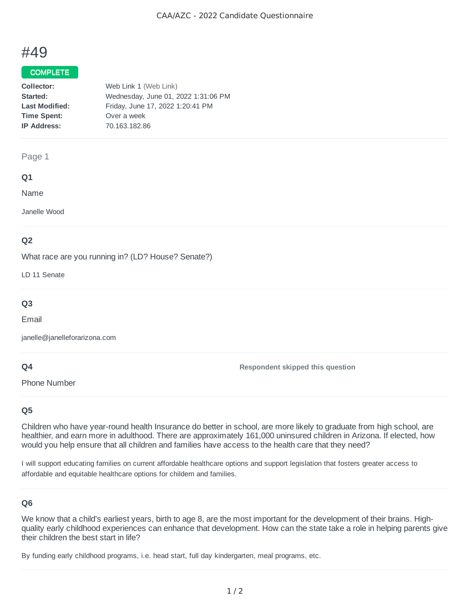# #49

## COMPLETE

| Collector:            | Web Link 1 (Web Link)               |
|-----------------------|-------------------------------------|
| Started:              | Wednesday, June 01, 2022 1:31:06 PM |
| <b>Last Modified:</b> | Friday, June 17, 2022 1:20:41 PM    |
| <b>Time Spent:</b>    | Over a week                         |
| <b>IP Address:</b>    | 70.163.182.86                       |
|                       |                                     |

#### Page 1

## **Q1**

Name

Janelle Wood

## **Q2**

What race are you running in? (LD? House? Senate?)

LD 11 Senate

## **Q3**

Email

janelle@janelleforarizona.com

## **Q4**

Phone Number

**Respondent skipped this question**

## **Q5**

Children who have year-round health Insurance do better in school, are more likely to graduate from high school, are healthier, and earn more in adulthood. There are approximately 161,000 uninsured children in Arizona. If elected, how would you help ensure that all children and families have access to the health care that they need?

I will support educating families on current affordable healthcare options and support legislation that fosters greater access to affordable and equitable healthcare options for childern and families.

## **Q6**

We know that a child's earliest years, birth to age 8, are the most important for the development of their brains. Highquality early childhood experiences can enhance that development. How can the state take a role in helping parents give their children the best start in life?

By funding early childhood programs, i.e. head start, full day kindergarten, meal programs, etc.